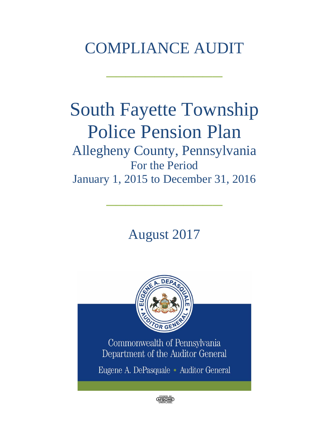# COMPLIANCE AUDIT

 $\frac{1}{2}$  , where  $\frac{1}{2}$  , where  $\frac{1}{2}$ 

# South Fayette Township Police Pension Plan

Allegheny County, Pennsylvania For the Period January 1, 2015 to December 31, 2016

 $\frac{1}{2}$  , where  $\frac{1}{2}$  , where  $\frac{1}{2}$ 

August 2017



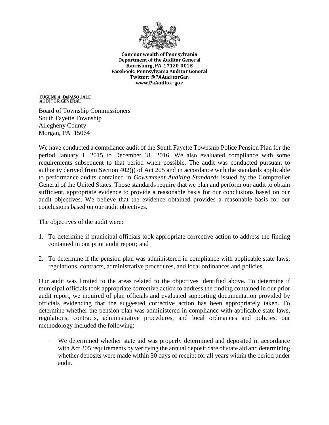

**Commonwealth of Pennsylvania** Department of the Auditor General Harrisburg, PA 17120-0018 Facebook: Pennsylvania Auditor General Twitter: @PAAuditorGen www.PaAuditor.gov

EUGENE A. DEPASQUALE<br>AUDITOR GENERAL

Board of Township Commissioners South Fayette Township Allegheny County Morgan, PA 15064

We have conducted a compliance audit of the South Fayette Township Police Pension Plan for the period January 1, 2015 to December 31, 2016. We also evaluated compliance with some requirements subsequent to that period when possible. The audit was conducted pursuant to authority derived from Section 402(j) of Act 205 and in accordance with the standards applicable to performance audits contained in *Government Auditing Standards* issued by the Comptroller General of the United States. Those standards require that we plan and perform our audit to obtain sufficient, appropriate evidence to provide a reasonable basis for our conclusions based on our audit objectives. We believe that the evidence obtained provides a reasonable basis for our conclusions based on our audit objectives.

The objectives of the audit were:

- 1. To determine if municipal officials took appropriate corrective action to address the finding contained in our prior audit report; and
- 2. To determine if the pension plan was administered in compliance with applicable state laws, regulations, contracts, administrative procedures, and local ordinances and policies.

Our audit was limited to the areas related to the objectives identified above. To determine if municipal officials took appropriate corrective action to address the finding contained in our prior audit report, we inquired of plan officials and evaluated supporting documentation provided by officials evidencing that the suggested corrective action has been appropriately taken. To determine whether the pension plan was administered in compliance with applicable state laws, regulations, contracts, administrative procedures, and local ordinances and policies, our methodology included the following:

We determined whether state aid was properly determined and deposited in accordance with Act 205 requirements by verifying the annual deposit date of state aid and determining whether deposits were made within 30 days of receipt for all years within the period under audit.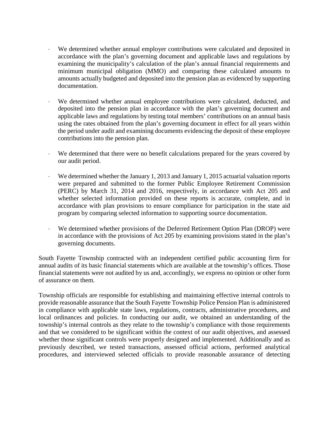- ⋅ We determined whether annual employer contributions were calculated and deposited in accordance with the plan's governing document and applicable laws and regulations by examining the municipality's calculation of the plan's annual financial requirements and minimum municipal obligation (MMO) and comparing these calculated amounts to amounts actually budgeted and deposited into the pension plan as evidenced by supporting documentation.
- We determined whether annual employee contributions were calculated, deducted, and deposited into the pension plan in accordance with the plan's governing document and applicable laws and regulations by testing total members' contributions on an annual basis using the rates obtained from the plan's governing document in effect for all years within the period under audit and examining documents evidencing the deposit of these employee contributions into the pension plan.
- We determined that there were no benefit calculations prepared for the years covered by our audit period.
- We determined whether the January 1, 2013 and January 1, 2015 actuarial valuation reports were prepared and submitted to the former Public Employee Retirement Commission (PERC) by March 31, 2014 and 2016, respectively, in accordance with Act 205 and whether selected information provided on these reports is accurate, complete, and in accordance with plan provisions to ensure compliance for participation in the state aid program by comparing selected information to supporting source documentation.
- We determined whether provisions of the Deferred Retirement Option Plan (DROP) were in accordance with the provisions of Act 205 by examining provisions stated in the plan's governing documents.

South Fayette Township contracted with an independent certified public accounting firm for annual audits of its basic financial statements which are available at the township's offices. Those financial statements were not audited by us and, accordingly, we express no opinion or other form of assurance on them.

Township officials are responsible for establishing and maintaining effective internal controls to provide reasonable assurance that the South Fayette Township Police Pension Plan is administered in compliance with applicable state laws, regulations, contracts, administrative procedures, and local ordinances and policies. In conducting our audit, we obtained an understanding of the township's internal controls as they relate to the township's compliance with those requirements and that we considered to be significant within the context of our audit objectives, and assessed whether those significant controls were properly designed and implemented. Additionally and as previously described, we tested transactions, assessed official actions, performed analytical procedures, and interviewed selected officials to provide reasonable assurance of detecting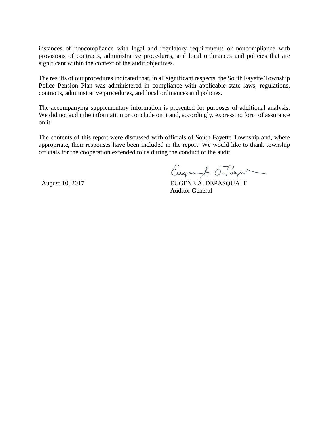instances of noncompliance with legal and regulatory requirements or noncompliance with provisions of contracts, administrative procedures, and local ordinances and policies that are significant within the context of the audit objectives.

The results of our procedures indicated that, in all significant respects, the South Fayette Township Police Pension Plan was administered in compliance with applicable state laws, regulations, contracts, administrative procedures, and local ordinances and policies.

The accompanying supplementary information is presented for purposes of additional analysis. We did not audit the information or conclude on it and, accordingly, express no form of assurance on it.

The contents of this report were discussed with officials of South Fayette Township and, where appropriate, their responses have been included in the report. We would like to thank township officials for the cooperation extended to us during the conduct of the audit.

Eugenf. Flagu

August 10, 2017 **EUGENE A. DEPASQUALE** Auditor General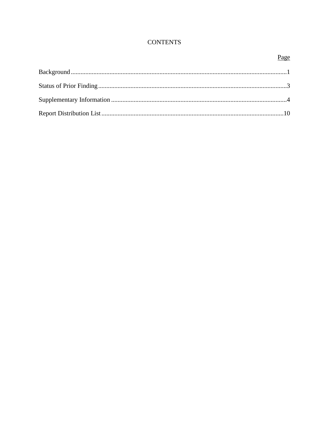# **CONTENTS**

# Page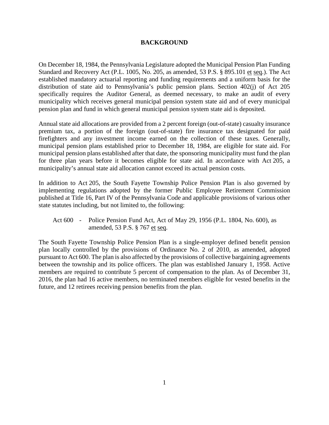#### **BACKGROUND**

On December 18, 1984, the Pennsylvania Legislature adopted the Municipal Pension Plan Funding Standard and Recovery Act (P.L. 1005, No. 205, as amended, 53 P.S. § 895.101 et seq.). The Act established mandatory actuarial reporting and funding requirements and a uniform basis for the distribution of state aid to Pennsylvania's public pension plans. Section 402(j) of Act 205 specifically requires the Auditor General, as deemed necessary, to make an audit of every municipality which receives general municipal pension system state aid and of every municipal pension plan and fund in which general municipal pension system state aid is deposited.

Annual state aid allocations are provided from a 2 percent foreign (out-of-state) casualty insurance premium tax, a portion of the foreign (out-of-state) fire insurance tax designated for paid firefighters and any investment income earned on the collection of these taxes. Generally, municipal pension plans established prior to December 18, 1984, are eligible for state aid. For municipal pension plans established after that date, the sponsoring municipality must fund the plan for three plan years before it becomes eligible for state aid. In accordance with Act 205, a municipality's annual state aid allocation cannot exceed its actual pension costs.

In addition to Act 205, the South Fayette Township Police Pension Plan is also governed by implementing regulations adopted by the former Public Employee Retirement Commission published at Title 16, Part IV of the Pennsylvania Code and applicable provisions of various other state statutes including, but not limited to, the following:

Act 600 - Police Pension Fund Act, Act of May 29, 1956 (P.L. 1804, No. 600), as amended, 53 P.S. § 767 et seq.

The South Fayette Township Police Pension Plan is a single-employer defined benefit pension plan locally controlled by the provisions of Ordinance No. 2 of 2010, as amended, adopted pursuant to Act 600. The plan is also affected by the provisions of collective bargaining agreements between the township and its police officers. The plan was established January 1, 1958. Active members are required to contribute 5 percent of compensation to the plan. As of December 31, 2016, the plan had 16 active members, no terminated members eligible for vested benefits in the future, and 12 retirees receiving pension benefits from the plan.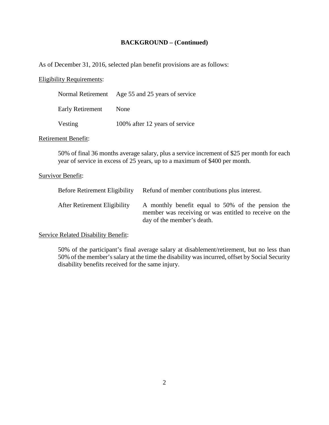#### **BACKGROUND – (Continued)**

As of December 31, 2016, selected plan benefit provisions are as follows:

#### Eligibility Requirements:

|                  | Normal Retirement Age 55 and 25 years of service |
|------------------|--------------------------------------------------|
| Early Retirement | None                                             |
| Vesting          | 100% after 12 years of service                   |

#### Retirement Benefit:

50% of final 36 months average salary, plus a service increment of \$25 per month for each year of service in excess of 25 years, up to a maximum of \$400 per month.

#### Survivor Benefit:

| <b>Before Retirement Eligibility</b> | Refund of member contributions plus interest.                                                                                             |
|--------------------------------------|-------------------------------------------------------------------------------------------------------------------------------------------|
| After Retirement Eligibility         | A monthly benefit equal to 50% of the pension the<br>member was receiving or was entitled to receive on the<br>day of the member's death. |

#### Service Related Disability Benefit:

50% of the participant's final average salary at disablement/retirement, but no less than 50% of the member's salary at the time the disability was incurred, offset by Social Security disability benefits received for the same injury.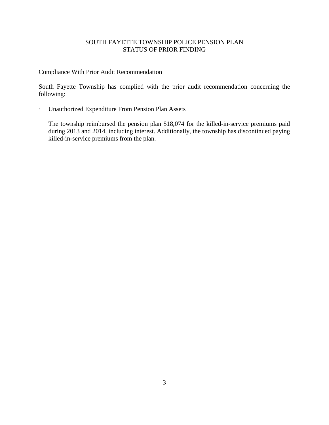# SOUTH FAYETTE TOWNSHIP POLICE PENSION PLAN STATUS OF PRIOR FINDING

# Compliance With Prior Audit Recommendation

South Fayette Township has complied with the prior audit recommendation concerning the following:

# ∙ Unauthorized Expenditure From Pension Plan Assets

The township reimbursed the pension plan \$18,074 for the killed-in-service premiums paid during 2013 and 2014, including interest. Additionally, the township has discontinued paying killed-in-service premiums from the plan.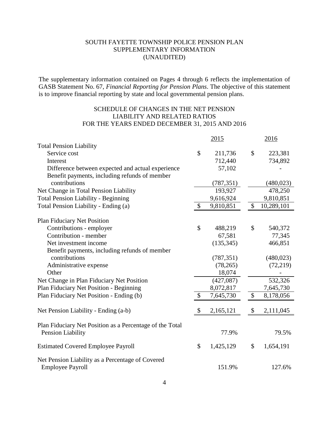The supplementary information contained on Pages 4 through 6 reflects the implementation of GASB Statement No. 67, *Financial Reporting for Pension Plans*. The objective of this statement is to improve financial reporting by state and local governmental pension plans.

# SCHEDULE OF CHANGES IN THE NET PENSION LIABILITY AND RELATED RATIOS FOR THE YEARS ENDED DECEMBER 31, 2015 AND 2016

|                                                          |               | 2015       |                           | 2016       |
|----------------------------------------------------------|---------------|------------|---------------------------|------------|
| <b>Total Pension Liability</b>                           |               |            |                           |            |
| Service cost                                             | \$            | 211,736    | \$                        | 223,381    |
| Interest                                                 |               | 712,440    |                           | 734,892    |
| Difference between expected and actual experience        |               | 57,102     |                           |            |
| Benefit payments, including refunds of member            |               |            |                           |            |
| contributions                                            |               | (787, 351) |                           | (480, 023) |
| Net Change in Total Pension Liability                    |               | 193,927    |                           | 478,250    |
| <b>Total Pension Liability - Beginning</b>               |               | 9,616,924  |                           | 9,810,851  |
| Total Pension Liability - Ending (a)                     | \$            | 9,810,851  | \$                        | 10,289,101 |
| <b>Plan Fiduciary Net Position</b>                       |               |            |                           |            |
| Contributions - employer                                 | $\mathcal{S}$ | 488,219    | \$                        | 540,372    |
| Contribution - member                                    |               | 67,581     |                           | 77,345     |
| Net investment income                                    |               | (135, 345) |                           | 466,851    |
| Benefit payments, including refunds of member            |               |            |                           |            |
| contributions                                            |               | (787, 351) |                           | (480, 023) |
| Administrative expense                                   |               | (78, 265)  |                           | (72, 219)  |
| Other                                                    |               | 18,074     |                           |            |
| Net Change in Plan Fiduciary Net Position                |               | (427,087)  |                           | 532,326    |
| Plan Fiduciary Net Position - Beginning                  |               | 8,072,817  |                           | 7,645,730  |
| Plan Fiduciary Net Position - Ending (b)                 | \$            | 7,645,730  | \$                        | 8,178,056  |
| Net Pension Liability - Ending (a-b)                     | \$            | 2,165,121  | $\boldsymbol{\mathsf{S}}$ | 2,111,045  |
| Plan Fiduciary Net Position as a Percentage of the Total |               |            |                           |            |
| Pension Liability                                        |               | 77.9%      |                           | 79.5%      |
| <b>Estimated Covered Employee Payroll</b>                | \$            | 1,425,129  | \$                        | 1,654,191  |
| Net Pension Liability as a Percentage of Covered         |               |            |                           |            |
| <b>Employee Payroll</b>                                  |               | 151.9%     |                           | 127.6%     |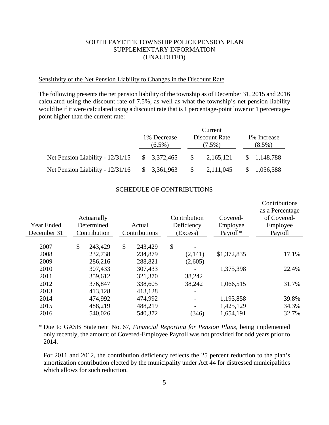#### Sensitivity of the Net Pension Liability to Changes in the Discount Rate

The following presents the net pension liability of the township as of December 31, 2015 and 2016 calculated using the discount rate of 7.5%, as well as what the township's net pension liability would be if it were calculated using a discount rate that is 1 percentage-point lower or 1 percentagepoint higher than the current rate:

|                                                 | 1% Decrease<br>$(6.5\%)$ |  | Current<br>Discount Rate<br>$(7.5\%)$ |           | 1% Increase<br>$(8.5\%)$ |             |
|-------------------------------------------------|--------------------------|--|---------------------------------------|-----------|--------------------------|-------------|
| Net Pension Liability - $12/31/15$ \$ 3,372,465 |                          |  | $\mathbb{S}$                          | 2,165,121 |                          | \$1,148,788 |
| Net Pension Liability - $12/31/16$ \$ 3,361,963 |                          |  | $\mathcal{S}$                         | 2,111,045 |                          | \$1,056,588 |

#### SCHEDULE OF CONTRIBUTIONS

| Year Ended<br>December 31 | Actuarially<br>Determined<br>Contribution | Actual<br>Contributions | Contribution<br>Deficiency<br>(Excess) | Covered-<br>Employee<br>Payroll* | Contributions<br>as a Percentage<br>of Covered-<br>Employee<br>Payroll |
|---------------------------|-------------------------------------------|-------------------------|----------------------------------------|----------------------------------|------------------------------------------------------------------------|
| 2007                      | \$<br>243,429                             | \$<br>243,429           | \$                                     |                                  |                                                                        |
| 2008                      | 232,738                                   | 234,879                 | (2,141)                                | \$1,372,835                      | 17.1%                                                                  |
| 2009                      | 286,216                                   | 288,821                 | (2,605)                                |                                  |                                                                        |
| 2010                      | 307,433                                   | 307,433                 |                                        | 1,375,398                        | 22.4%                                                                  |
| 2011                      | 359,612                                   | 321,370                 | 38,242                                 |                                  |                                                                        |
| 2012                      | 376,847                                   | 338,605                 | 38,242                                 | 1,066,515                        | 31.7%                                                                  |
| 2013                      | 413,128                                   | 413,128                 |                                        |                                  |                                                                        |
| 2014                      | 474,992                                   | 474,992                 |                                        | 1,193,858                        | 39.8%                                                                  |
| 2015                      | 488,219                                   | 488,219                 |                                        | 1,425,129                        | 34.3%                                                                  |
| 2016                      | 540,026                                   | 540,372                 | (346)                                  | 1,654,191                        | 32.7%                                                                  |

\* Due to GASB Statement No. 67, *Financial Reporting for Pension Plans,* being implemented only recently, the amount of Covered-Employee Payroll was not provided for odd years prior to 2014.

For 2011 and 2012, the contribution deficiency reflects the 25 percent reduction to the plan's amortization contribution elected by the municipality under Act 44 for distressed municipalities which allows for such reduction.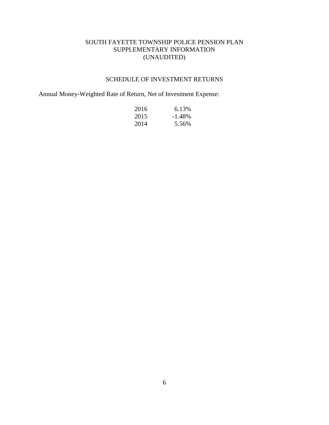# SCHEDULE OF INVESTMENT RETURNS

Annual Money-Weighted Rate of Return, Net of Investment Expense:

| 2016 | 6.13%     |
|------|-----------|
| 2015 | $-1.48\%$ |
| 2014 | 5.56%     |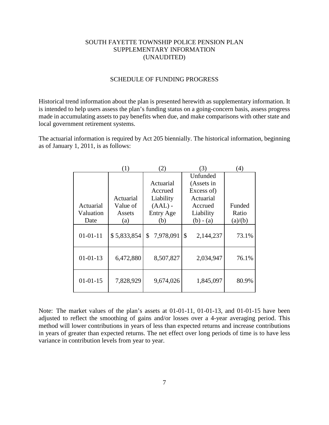#### SCHEDULE OF FUNDING PROGRESS

Historical trend information about the plan is presented herewith as supplementary information. It is intended to help users assess the plan's funding status on a going-concern basis, assess progress made in accumulating assets to pay benefits when due, and make comparisons with other state and local government retirement systems.

The actuarial information is required by Act 205 biennially. The historical information, beginning as of January 1, 2011, is as follows:

|                | (1)         | (2)              | (3)             | (4)     |
|----------------|-------------|------------------|-----------------|---------|
|                |             |                  | Unfunded        |         |
|                |             | Actuarial        | (Assets in      |         |
|                |             | Accrued          | Excess of)      |         |
|                | Actuarial   | Liability        | Actuarial       |         |
| Actuarial      | Value of    | $(AAL)$ -        | Accrued         | Funded  |
| Valuation      | Assets      | <b>Entry Age</b> | Liability       | Ratio   |
| Date           | (a)         | (b)              | $(b) - (a)$     | (a)/(b) |
| $01 - 01 - 11$ | \$5,833,854 | 7,978,091<br>\$  | \$<br>2,144,237 | 73.1%   |
| $01 - 01 - 13$ | 6,472,880   | 8,507,827        | 2,034,947       | 76.1%   |
| $01 - 01 - 15$ | 7,828,929   | 9,674,026        | 1,845,097       | 80.9%   |

Note: The market values of the plan's assets at 01-01-11, 01-01-13, and 01-01-15 have been adjusted to reflect the smoothing of gains and/or losses over a 4-year averaging period. This method will lower contributions in years of less than expected returns and increase contributions in years of greater than expected returns. The net effect over long periods of time is to have less variance in contribution levels from year to year.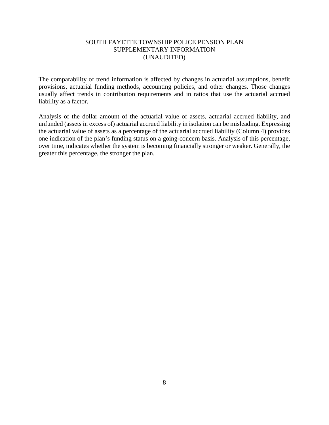The comparability of trend information is affected by changes in actuarial assumptions, benefit provisions, actuarial funding methods, accounting policies, and other changes. Those changes usually affect trends in contribution requirements and in ratios that use the actuarial accrued liability as a factor.

Analysis of the dollar amount of the actuarial value of assets, actuarial accrued liability, and unfunded (assets in excess of) actuarial accrued liability in isolation can be misleading. Expressing the actuarial value of assets as a percentage of the actuarial accrued liability (Column 4) provides one indication of the plan's funding status on a going-concern basis. Analysis of this percentage, over time, indicates whether the system is becoming financially stronger or weaker. Generally, the greater this percentage, the stronger the plan.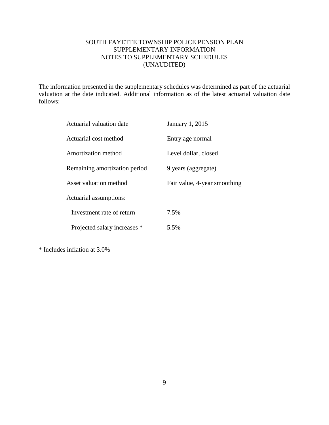# SOUTH FAYETTE TOWNSHIP POLICE PENSION PLAN SUPPLEMENTARY INFORMATION NOTES TO SUPPLEMENTARY SCHEDULES (UNAUDITED)

The information presented in the supplementary schedules was determined as part of the actuarial valuation at the date indicated. Additional information as of the latest actuarial valuation date follows:

| Actuarial valuation date      | January 1, 2015              |
|-------------------------------|------------------------------|
| Actuarial cost method         | Entry age normal             |
| Amortization method           | Level dollar, closed         |
| Remaining amortization period | 9 years (aggregate)          |
| Asset valuation method        | Fair value, 4-year smoothing |
| Actuarial assumptions:        |                              |
| Investment rate of return     | 7.5%                         |
| Projected salary increases *  | 5.5%                         |

\* Includes inflation at 3.0%